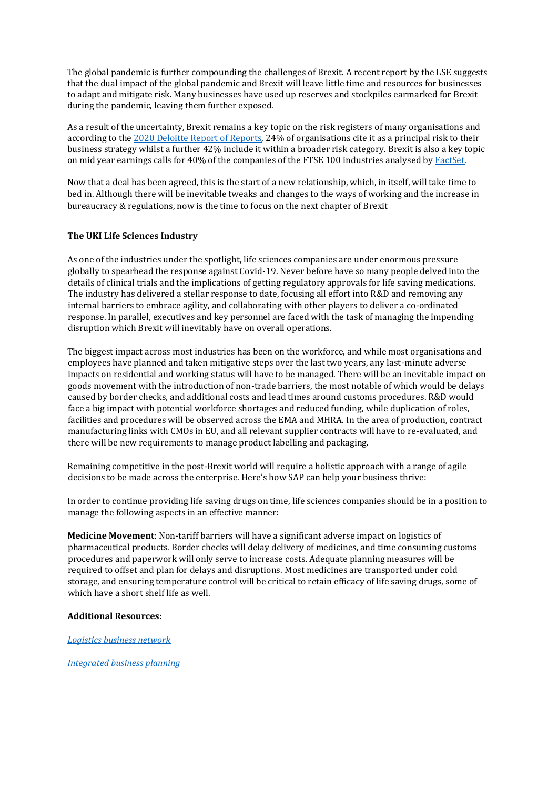The global pandemic is further compounding the challenges of Brexit. A recent report by the LSE suggests that the dual impact of the global pandemic and Brexit will leave little time and resources for businesses to adapt and mitigate risk. Many businesses have used up reserves and stockpiles earmarked for Brexit during the pandemic, leaving them further exposed.

As a result of the uncertainty, Brexit remains a key topic on the risk registers of many organisations and according to the [2020 Deloitte Report of Reports, 2](https://www2.deloitte.com/uk/en/pages/audit/articles/annual-report-insights-2020.html)4% of organisations cite it as a principal risk to their business strategy whilst a further 42% include it within a broader risk category. Brexit is also a key topic on mid year earnings calls for 40% of the companies of the FTSE 100 industries analysed by [FactSet.](https://insight.factset.com/which-uk-industries-will-likely-be-impacted-by-brexit)

Now that a deal has been agreed, this is the start of a new relationship, which, in itself, will take time to bed in. Although there will be inevitable tweaks and changes to the ways of working and the increase in bureaucracy & regulations, now is the time to focus on the next chapter of Brexit

## **The UKI Life Sciences Industry**

As one of the industries under the spotlight, life sciences companies are under enormous pressure globally to spearhead the response against Covid-19. Never before have so many people delved into the details of clinical trials and the implications of getting regulatory approvals for life saving medications. The industry has delivered a stellar response to date, focusing all effort into R&D and removing any internal barriers to embrace agility, and collaborating with other players to deliver a co-ordinated response. In parallel, executives and key personnel are faced with the task of managing the impending disruption which Brexit will inevitably have on overall operations.

The biggest impact across most industries has been on the workforce, and while most organisations and employees have planned and taken mitigative steps over the last two years, any last-minute adverse impacts on residential and working status will have to be managed. There will be an inevitable impact on goods movement with the introduction of non-trade barriers, the most notable of which would be delays caused by border checks, and additional costs and lead times around customs procedures. R&D would face a big impact with potential workforce shortages and reduced funding, while duplication of roles, facilities and procedures will be observed across the EMA and MHRA. In the area of production, contract manufacturing links with CMOs in EU, and all relevant supplier contracts will have to re-evaluated, and there will be new requirements to manage product labelling and packaging.

Remaining competitive in the post-Brexit world will require a holistic approach with a range of agile decisions to be made across the enterprise. Here's how SAP can help your business thrive:

In order to continue providing life saving drugs on time, life sciences companies should be in a position to manage the following aspects in an effective manner:

**Medicine Movement**: Non-tariff barriers will have a significant adverse impact on logistics of pharmaceutical products. Border checks will delay delivery of medicines, and time consuming customs procedures and paperwork will only serve to increase costs. Adequate planning measures will be required to offset and plan for delays and disruptions. Most medicines are transported under cold storage, and ensuring temperature control will be critical to retain efficacy of life saving drugs, some of which have a short shelf life as well.

#### **Additional Resources:**

*[Logistics business network](https://www.sap.com/uk/products/logistics-business-network.html)*

*[Integrated business planning](https://www.sap.com/uk/products/integrated-business-planning.html)*